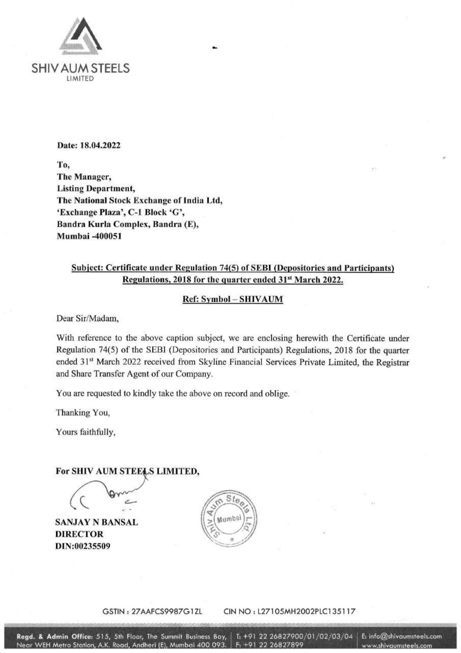

#### Date: 18.04.2022

To, The Manager, **Listing Department,** The National Stock Exchange of India Ltd, 'Exchange Plaza', C-1 Block 'G', Bandra Kurla Complex, Bandra (E), Mumbai -400051

## Subject: Certificate under Regulation 74(5) of SEBI (Depositories and Participants) Regulations, 2018 for the quarter ended 31st March 2022.

### **Ref: Symbol - SHIVAUM**

Dear Sir/Madam,

With reference to the above caption subject, we are enclosing herewith the Certificate under Regulation 74(5) of the SEBI (Depositories and Participants) Regulations, 2018 for the quarter ended 31<sup>st</sup> March 2022 received from Skyline Financial Services Private Limited, the Registrar and Share Transfer Agent of our Company.

You are requested to kindly take the above on record and oblige.

Thanking You,

Yours faithfully,

## For SHIV AUM STEELS LIMITED,

**SANJAY N BANSAL DIRECTOR** DIN:00235509



GSTIN: 27AAFCS9987G1ZL CIN NO: L27105MH2002PLC135117